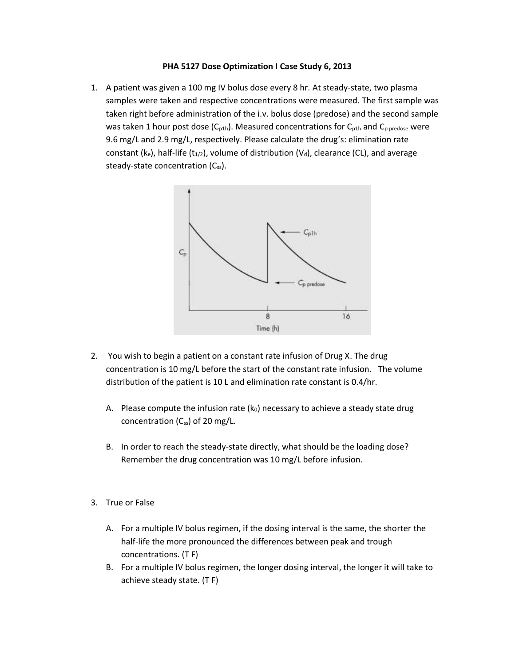## **PHA 5127 Dose Optimization I Case Study 6, 2013**

1. A patient was given a 100 mg IV bolus dose every 8 hr. At steady-state, two plasma samples were taken and respective concentrations were measured. The first sample was taken right before administration of the i.v. bolus dose (predose) and the second sample was taken 1 hour post dose (C<sub>p1h</sub>). Measured concentrations for C<sub>p1h</sub> and C<sub>p predose</sub> were 9.6 mg/L and 2.9 mg/L, respectively. Please calculate the drug's: elimination rate constant (ke), half-life (t<sub>1/2</sub>), volume of distribution (V<sub>d</sub>), clearance (CL), and average steady-state concentration  $(C_{ss})$ .



- 2. You wish to begin a patient on a constant rate infusion of Drug X. The drug concentration is 10 mg/L before the start of the constant rate infusion. The volume distribution of the patient is 10 L and elimination rate constant is 0.4/hr.
	- A. Please compute the infusion rate  $(k_0)$  necessary to achieve a steady state drug concentration  $(C_{ss})$  of 20 mg/L.
	- B. In order to reach the steady-state directly, what should be the loading dose? Remember the drug concentration was 10 mg/L before infusion.
- 3. True or False
	- A. For a multiple IV bolus regimen, if the dosing interval is the same, the shorter the half-life the more pronounced the differences between peak and trough concentrations. (T F)
	- B. For a multiple IV bolus regimen, the longer dosing interval, the longer it will take to achieve steady state. (T F)